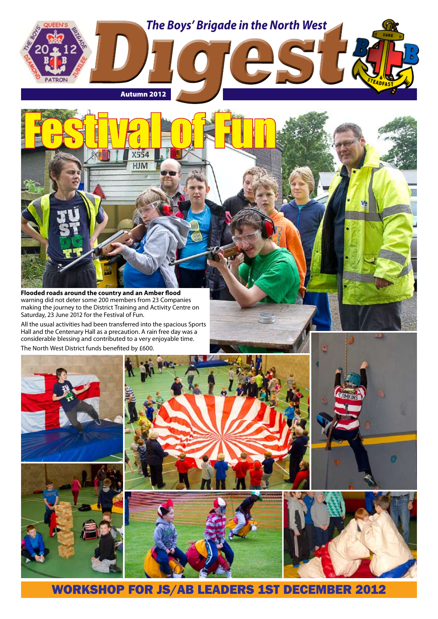

**Flooded roads around the country and an Amber flood**  warning did not deter some 200 members from 23 Companies making the journey to the District Training and Activity Centre on Saturday, 23 June 2012 for the Festival of Fun.

Festival of Fun

**HJM** 

All the usual activities had been transferred into the spacious Sports Hall and the Centenary Hall as a precaution. A rain free day was a considerable blessing and contributed to a very enjoyable time. The North West District funds benefited by £600.





WORKSHOP FOR JS/AB LEADERS 1ST DECEMBER 2012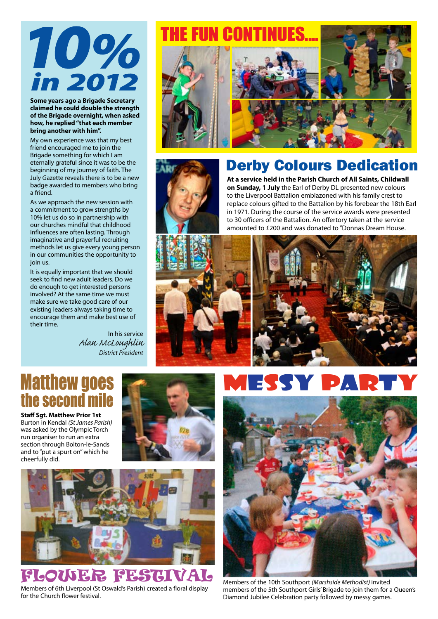# 10% in 2012

**Some years ago a Brigade Secretary claimed he could double the strength of the Brigade overnight, when asked how, he replied "that each member bring another with him".**

My own experience was that my best friend encouraged me to join the Brigade something for which I am eternally grateful since it was to be the beginning of my journey of faith. The July Gazette reveals there is to be a new badge awarded to members who bring a friend.

As we approach the new session with a commitment to grow strengths by 10% let us do so in partnership with our churches mindful that childhood influences are often lasting. Through imaginative and prayerful recruiting methods let us give every young person in our communities the opportunity to join us.

It is equally important that we should seek to find new adult leaders. Do we do enough to get interested persons involved? At the same time we must make sure we take good care of our existing leaders always taking time to encourage them and make best use of their time.

> In his service *Alan McLoughlin District President*

# FIIN CONTINI



# Derby Colours Dedication

**At a service held in the Parish Church of All Saints, Childwall on Sunday, 1 July** the Earl of Derby DL presented new colours to the Liverpool Battalion emblazoned with his family crest to replace colours gifted to the Battalion by his forebear the 18th Earl in 1971. During the course of the service awards were presented to 30 officers of the Battalion. An offertory taken at the service amounted to £200 and was donated to "Donnas Dream House.





# **Matthew goes** the second mile

**Staff Sgt. Matthew Prior 1st**  Burton in Kendal *(St James Parish)* was asked by the Olympic Torch run organiser to run an extra section through Bolton-le-Sands and to "put a spurt on" which he cheerfully did.





# FLOWER FESTIVAL

Members of 6th Liverpool (St Oswald's Parish) created a floral display for the Church flower festival.





Members of the 10th Southport *(Marshside Methodist)* invited members of the 5th Southport Girls' Brigade to join them for a Queen's Diamond Jubilee Celebration party followed by messy games.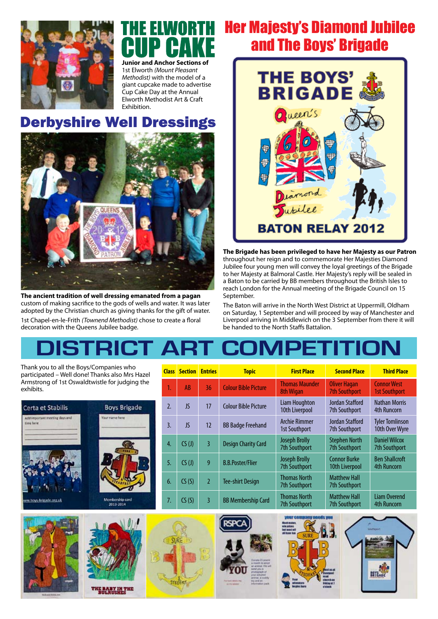

# **Junior and Anchor Sections of**

1st Elworth *(Mount Pleasant Methodist)* with the model of a giant cupcake made to advertise Cup Cake Day at the Annual Elworth Methodist Art & Craft Exhibition.

# **Derbyshire Well Dressings**



**The ancient tradition of well dressing emanated from a pagan** custom of making sacrifice to the gods of wells and water. It was later adopted by the Christian church as giving thanks for the gift of water. 1st Chapel-en-le-Frith *(Townend Methodist)* chose to create a floral decoration with the Queens Jubilee badge.

# Her Majesty's Diamond Jubilee and The Boys' Brigade



**The Brigade has been privileged to have her Majesty as our Patron**  throughout her reign and to commemorate Her Majesties Diamond Jubilee four young men will convey the loyal greetings of the Brigade to her Majesty at Balmoral Castle. Her Majesty's reply will be sealed in a Baton to be carried by BB members throughout the British Isles to reach London for the Annual meeting of the Brigade Council on 15 September.

The Baton will arrive in the North West District at Uppermill, Oldham on Saturday, 1 September and will proceed by way of Manchester and Liverpool arriving in Middlewich on the 3 September from there it will be handed to the North Staffs Battalion.

# **DISTRICT Art competition**

Thank you to all the Boys/Companies who participated – Well done! Thanks also Mrs Hazel Armstrong of 1st Oswaldtwistle for judging the exhibits.

| Certa et Stabilis                            | <b>Boys Brigade</b>          | 2. | JS    |  |
|----------------------------------------------|------------------------------|----|-------|--|
| Add important meeting days and<br>time here. | Your name here               | 3. | JS    |  |
|                                              |                              | 4. | CS(J) |  |
|                                              |                              | 5. | CS(J) |  |
|                                              |                              | 6. | CS(S) |  |
| New hour brande org.uk                       | Montenship card<br>2013-2014 | 7. | CS(S) |  |

| <b>Class</b>   | <b>Section</b>             | <b>Entries</b> | <b>Topic</b>                | <b>First Place</b>                           | <b>Second Place</b>                         | <b>Third Place</b>                          |
|----------------|----------------------------|----------------|-----------------------------|----------------------------------------------|---------------------------------------------|---------------------------------------------|
| 1.             | <b>AB</b>                  | 36             | <b>Colour Bible Picture</b> | <b>Thomas Maunder</b><br>8th Wigan           | Oliver Hagan<br><b>7th Southport</b>        | <b>Connor West</b><br><b>1st Southport</b>  |
| $\mathfrak{Z}$ | JS.                        | 17             | <b>Colour Bible Picture</b> | Liam Houghton<br>10th Liverpool              | Jordan Stafford<br>7th Southport            | <b>Nathan Morris</b><br>4th Runcorn         |
| 3.             | JS.                        | 12             | <b>BB Badge Freehand</b>    | <b>Archie Rimmer</b><br><b>1st Southport</b> | Jordan Stafford<br>7th Southport            | <b>Tyler Tomlinson</b><br>10th Over Wyre    |
| 4.             | CS(J)                      | $\overline{3}$ | <b>Design Charity Card</b>  | <b>Joseph Brolly</b><br><b>7th Southport</b> | <b>Stephen North</b><br>7th Southport       | <b>Daniel Wilcox</b><br>7th Southport       |
| 5.             | (S <sub>(</sub> <i>J</i> ) | 9              | <b>B.B.Poster/Flier</b>     | <b>Joseph Brolly</b><br>7th Southport        | <b>Connor Burke</b><br>10th Liverpool       | <b>Ben Shallcroft</b><br><b>4th Runcorn</b> |
| 6.             | CS(S)                      | $\overline{2}$ | <b>Tee-shirt Design</b>     | <b>Thomas North</b><br><b>7th Southport</b>  | <b>Matthew Hall</b><br><b>7th Southport</b> |                                             |
| 7.             | CS(S)                      | 3              | <b>BB Membership Card</b>   | <b>Thomas North</b><br><b>7th Southport</b>  | <b>Matthew Hall</b><br><b>7th Southport</b> | <b>Liam Overend</b><br><b>4th Runcorn</b>   |